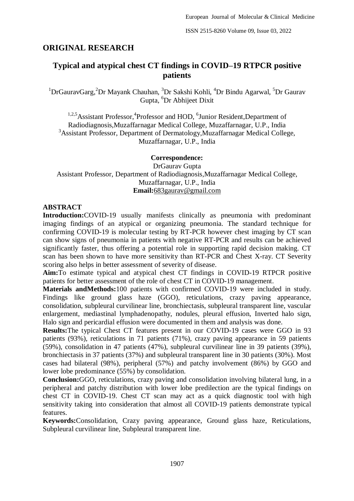## **ORIGINAL RESEARCH**

# **Typical and atypical chest CT findings in COVID–19 RTPCR positive patients**

<sup>1</sup>DrGauravGarg,<sup>2</sup>Dr Mayank Chauhan, <sup>3</sup>Dr Sakshi Kohli, <sup>4</sup>Dr Bindu Agarwal, <sup>5</sup>Dr Gaurav Gupta, <sup>6</sup>Dr Abhijeet Dixit

<sup>1,2,5</sup>Assistant Professor,<sup>4</sup>Professor and HOD,<sup>6</sup>Junior Resident, Department of Radiodiagnosis,Muzaffarnagar Medical College, Muzaffarnagar, U.P., India <sup>3</sup>Assistant Professor, Department of Dermatology, Muzaffarnagar Medical College, Muzaffarnagar, U.P., India

#### **Correspondence:**

DrGaurav Gupta Assistant Professor, Department of Radiodiagnosis,Muzaffarnagar Medical College, Muzaffarnagar, U.P., India **Email:**[683gaurav@gmail.com](mailto:683gaurav@gmail.com)

#### **ABSTRACT**

**Introduction:**COVID-19 usually manifests clinically as pneumonia with predominant imaging findings of an atypical or organizing pneumonia. The standard technique for confirming COVID-19 is molecular testing by RT-PCR however chest imaging by CT scan can show signs of pneumonia in patients with negative RT-PCR and results can be achieved significantly faster, thus offering a potential role in supporting rapid decision making. CT scan has been shown to have more sensitivity than RT-PCR and Chest X-ray. CT Severity scoring also helps in better assessment of severity of disease.

**Aim:**To estimate typical and atypical chest CT findings in COVID-19 RTPCR positive patients for better assessment of the role of chest CT in COVID-19 management.

**Materials andMethods:**100 patients with confirmed COVID-19 were included in study. Findings like ground glass haze (GGO), reticulations, crazy paving appearance, consolidation, subpleural curvilinear line, bronchiectasis, subpleural transparent line, vascular enlargement, mediastinal lymphadenopathy, nodules, pleural effusion, Inverted halo sign, Halo sign and pericardial effusion were documented in them and analysis was done.

**Results:**The typical Chest CT features present in our COVID-19 cases were GGO in 93 patients (93%), reticulations in 71 patients (71%), crazy paving appearance in 59 patients (59%), consolidation in 47 patients (47%), subpleural curvilinear line in 39 patients (39%), bronchiectasis in 37 patients (37%) and subpleural transparent line in 30 patients (30%). Most cases had bilateral (98%), peripheral (57%) and patchy involvement (86%) by GGO and lower lobe predominance (55%) by consolidation.

**Conclusion:**GGO, reticulations, crazy paving and consolidation involving bilateral lung, in a peripheral and patchy distribution with lower lobe predilection are the typical findings on chest CT in COVID-19. Chest CT scan may act as a quick diagnostic tool with high sensitivity taking into consideration that almost all COVID-19 patients demonstrate typical features.

**Keywords:**Consolidation, Crazy paving appearance, Ground glass haze, Reticulations, Subpleural curvilinear line, Subpleural transparent line.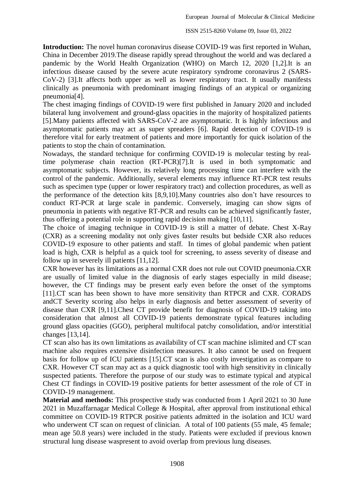**Introduction:** The novel human coronavirus disease COVID-19 was first reported in Wuhan, China in December 2019.The disease rapidly spread throughout the world and was declared a pandemic by the World Health Organization (WHO) on March 12, 2020 [1,2].It is an infectious disease caused by the severe acute respiratory syndrome coronavirus 2 (SARS-CoV-2) [3].It affects both upper as well as lower respiratory tract. It usually manifests clinically as pneumonia with predominant imaging findings of an atypical or organizing pneumonia[4].

The chest imaging findings of COVID-19 were first published in January 2020 and included bilateral lung involvement and ground-glass opacities in the majority of hospitalized patients [5].Many patients affected with SARS-CoV-2 are asymptomatic. It is highly infectious and asymptomatic patients may act as super spreaders [6]. Rapid detection of COVID-19 is therefore vital for early treatment of patients and more importantly for quick isolation of the patients to stop the chain of contamination.

Nowadays, the standard technique for confirming COVID-19 is molecular testing by realtime polymerase chain reaction (RT-PCR)[7].It is used in both symptomatic and asymptomatic subjects. However, its relatively long processing time can interfere with the control of the pandemic. Additionally, several elements may influence RT-PCR test results such as specimen type (upper or lower respiratory tract) and collection procedures, as well as the performance of the detection kits [8,9,10].Many countries also don't have resources to conduct RT-PCR at large scale in pandemic. Conversely, imaging can show signs of pneumonia in patients with negative RT-PCR and results can be achieved significantly faster, thus offering a potential role in supporting rapid decision making [10,11].

The choice of imaging technique in COVID-19 is still a matter of debate. Chest X-Ray (CXR) as a screening modality not only gives faster results but bedside CXR also reduces COVID-19 exposure to other patients and staff. In times of global pandemic when patient load is high, CXR is helpful as a quick tool for screening, to assess severity of disease and follow up in severely ill patients [11,12].

CXR however has its limitations as a normal CXR does not rule out COVID pneumonia.CXR are usually of limited value in the diagnosis of early stages especially in mild disease; however, the CT findings may be present early even before the onset of the symptoms [11].CT scan has been shown to have more sensitivity than RTPCR and CXR. CORADS andCT Severity scoring also helps in early diagnosis and better assessment of severity of disease than CXR [9,11].Chest CT provide benefit for diagnosis of COVID-19 taking into consideration that almost all COVID-19 patients demonstrate typical features including ground glass opacities (GGO), peripheral multifocal patchy consolidation, and/or interstitial changes [13,14].

CT scan also has its own limitations as availability of CT scan machine islimited and CT scan machine also requires extensive disinfection measures. It also cannot be used on frequent basis for follow up of ICU patients [15].CT scan is also costly investigation as compare to CXR. However CT scan may act as a quick diagnostic tool with high sensitivity in clinically suspected patients. Therefore the purpose of our study was to estimate typical and atypical Chest CT findings in COVID-19 positive patients for better assessment of the role of CT in COVID-19 management.

**Material and methods:** This prospective study was conducted from 1 April 2021 to 30 June 2021 in Muzaffarnagar Medical College & Hospital, after approval from institutional ethical committee on COVID-19 RTPCR positive patients admitted in the isolation and ICU ward who underwent CT scan on request of clinician. A total of 100 patients (55 male, 45 female; mean age 50.8 years) were included in the study. Patients were excluded if previous known structural lung disease waspresent to avoid overlap from previous lung diseases.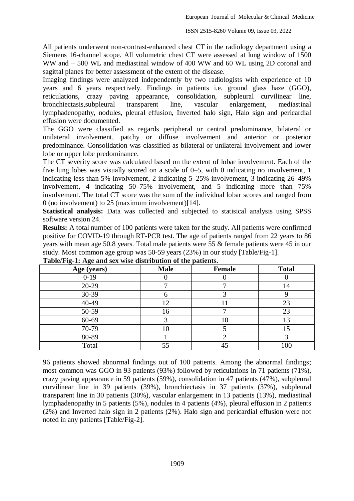All patients underwent non-contrast-enhanced chest CT in the radiology department using a Siemens 16-channel scope. All volumetric chest CT were assessed at lung window of 1500 WW and − 500 WL and mediastinal window of 400 WW and 60 WL using 2D coronal and sagittal planes for better assessment of the extent of the disease.

Imaging findings were analyzed independently by two radiologists with experience of 10 years and 6 years respectively. Findings in patients i.e. ground glass haze (GGO), reticulations, crazy paving appearance, consolidation, subpleural curvilinear line, bronchiectasis,subpleural transparent line, vascular enlargement, mediastinal lymphadenopathy, nodules, pleural effusion, Inverted halo sign, Halo sign and pericardial effusion were documented.

The GGO were classified as regards peripheral or central predominance, bilateral or unilateral involvement, patchy or diffuse involvement and anterior or posterior predominance. Consolidation was classified as bilateral or unilateral involvement and lower lobe or upper lobe predominance.

The CT severity score was calculated based on the extent of lobar involvement. Each of the five lung lobes was visually scored on a scale of 0–5, with 0 indicating no involvement, 1 indicating less than 5% involvement, 2 indicating 5–25% involvement, 3 indicating 26–49% involvement, 4 indicating 50–75% involvement, and 5 indicating more than 75% involvement. The total CT score was the sum of the individual lobar scores and ranged from 0 (no involvement) to 25 (maximum involvement)[14].

**Statistical analysis:** Data was collected and subjected to statisical analysis using SPSS software version 24.

**Results:** A total number of 100 patients were taken for the study. All patients were confirmed positive for COVID-19 through RT-PCR test. The age of patients ranged from 22 years to 86 years with mean age 50.8 years. Total male patients were 55 & female patients were 45 in our study. Most common age group was 50-59 years (23%) in our study [Table/Fig-1].

| Age (years) | <b>Male</b> | <b>Female</b> | <b>Total</b> |  |
|-------------|-------------|---------------|--------------|--|
| $0-19$      |             |               |              |  |
| 20-29       | −           | −             | 14           |  |
| 30-39       | n           |               |              |  |
| 40-49       | 12          |               | 23           |  |
| 50-59       | 16          |               | 23           |  |
| 60-69       |             | 10            | 13           |  |
| 70-79       | 10          |               | 15           |  |
| 80-89       |             |               |              |  |
| Total       | 55          | 45            | 100          |  |

**Table/Fig-1: Age and sex wise distribution of the patients.**

96 patients showed abnormal findings out of 100 patients. Among the abnormal findings; most common was GGO in 93 patients (93%) followed by reticulations in 71 patients (71%), crazy paving appearance in 59 patients (59%), consolidation in 47 patients (47%), subpleural curvilinear line in 39 patients (39%), bronchiectasis in 37 patients (37%), subpleural transparent line in 30 patients (30%), vascular enlargement in 13 patients (13%), mediastinal lymphadenopathy in 5 patients (5%), nodules in 4 patients (4%), pleural effusion in 2 patients (2%) and Inverted halo sign in 2 patients (2%). Halo sign and pericardial effusion were not noted in any patients [Table/Fig-2].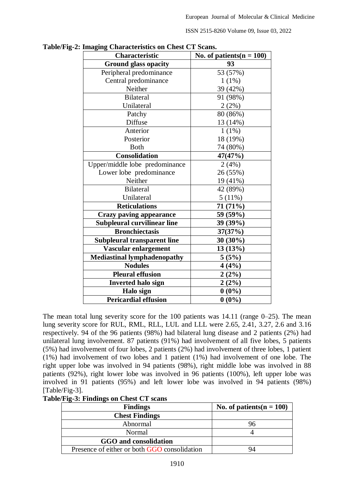ISSN 2515-8260 Volume 09, Issue 03, 2022

| miaging Characteristics on Chest CT Stans.<br>Characteristic | No. of patients( $n = 100$ ) |
|--------------------------------------------------------------|------------------------------|
| <b>Ground glass opacity</b>                                  | 93                           |
| Peripheral predominance                                      | 53 (57%)                     |
| Central predominance                                         | $1(1\%)$                     |
| Neither                                                      | 39 (42%)                     |
| <b>Bilateral</b>                                             | 91 (98%)                     |
| Unilateral                                                   | 2(2%)                        |
| Patchy                                                       | 80 (86%)                     |
| Diffuse                                                      | 13 (14%)                     |
| Anterior                                                     | $1(1\%)$                     |
| Posterior                                                    | 18 (19%)                     |
| <b>Both</b>                                                  | 74 (80%)                     |
| <b>Consolidation</b>                                         | 47(47%)                      |
| Upper/middle lobe predominance                               | 2(4%)                        |
| Lower lobe predominance                                      | 26 (55%)                     |
| Neither                                                      | 19 (41%)                     |
| <b>Bilateral</b>                                             | 42 (89%)                     |
| Unilateral                                                   | 5(11%)                       |
| <b>Reticulations</b>                                         | 71 (71%)                     |
| <b>Crazy paving appearance</b>                               | 59 (59%)                     |
| Subpleural curvilinear line                                  | 39 (39%)                     |
| <b>Bronchiectasis</b>                                        | 37(37%)                      |
| <b>Subpleural transparent line</b>                           | $30(30\%)$                   |
| Vascular enlargement                                         | 13(13%)                      |
| <b>Mediastinal lymphadenopathy</b>                           | 5(5%)                        |
| <b>Nodules</b>                                               | 4(4%)                        |
| <b>Pleural effusion</b>                                      | 2(2%)                        |
| <b>Inverted halo sign</b>                                    | 2(2%)                        |
| Halo sign                                                    | $0(0\%)$                     |
| <b>Pericardial effusion</b>                                  | $0(0\%)$                     |

**Table/Fig-2: Imaging Characteristics on Chest CT Scans.** 

The mean total lung severity score for the 100 patients was  $14.11$  (range  $0-25$ ). The mean lung severity score for RUL, RML, RLL, LUL and LLL were 2.65, 2.41, 3.27, 2.6 and 3.16 respectively. 94 of the 96 patients (98%) had bilateral lung disease and 2 patients (2%) had unilateral lung involvement. 87 patients (91%) had involvement of all five lobes, 5 patients (5%) had involvement of four lobes, 2 patients (2%) had involvement of three lobes, 1 patient (1%) had involvement of two lobes and 1 patient (1%) had involvement of one lobe. The right upper lobe was involved in 94 patients (98%), right middle lobe was involved in 88 patients (92%), right lower lobe was involved in 96 patients (100%), left upper lobe was involved in 91 patients (95%) and left lower lobe was involved in 94 patients (98%) [Table/Fig-3].

| Table/Fig-3: Findings on Chest CT scans |  |
|-----------------------------------------|--|
|-----------------------------------------|--|

| <b>Findings</b>                              | No. of patients( $n = 100$ ) |
|----------------------------------------------|------------------------------|
| <b>Chest Findings</b>                        |                              |
| Abnormal                                     | 96                           |
| Normal                                       |                              |
| GGO and consolidation                        |                              |
| Presence of either or both GGO consolidation | 94                           |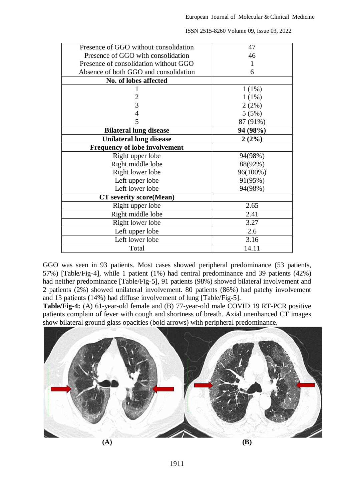| Presence of GGO without consolidation | 47       |
|---------------------------------------|----------|
| Presence of GGO with consolidation    | 46       |
| Presence of consolidation without GGO | 1        |
| Absence of both GGO and consolidation | 6        |
| No. of lobes affected                 |          |
|                                       | $1(1\%)$ |
| $\overline{2}$                        | $1(1\%)$ |
| $\overline{3}$                        | 2(2%)    |
| $\overline{4}$                        | 5(5%)    |
| 5                                     | 87 (91%) |
| <b>Bilateral lung disease</b>         | 94 (98%) |
| <b>Unilateral lung disease</b>        | 2(2%)    |
| <b>Frequency of lobe involvement</b>  |          |
| Right upper lobe                      | 94(98%)  |
| Right middle lobe                     | 88(92%)  |
| Right lower lobe                      | 96(100%) |
| Left upper lobe                       | 91(95%)  |
| Left lower lobe                       | 94(98%)  |
| <b>CT</b> severity score(Mean)        |          |
| Right upper lobe                      | 2.65     |
| Right middle lobe                     | 2.41     |
| Right lower lobe                      | 3.27     |
| Left upper lobe                       | 2.6      |
| Left lower lobe                       | 3.16     |
| Total                                 | 14.11    |

ISSN 2515-8260 Volume 09, Issue 03, 2022

GGO was seen in 93 patients. Most cases showed peripheral predominance (53 patients, 57%) [Table/Fig-4], while 1 patient (1%) had central predominance and 39 patients (42%) had neither predominance [Table/Fig-5], 91 patients (98%) showed bilateral involvement and 2 patients (2%) showed unilateral involvement. 80 patients (86%) had patchy involvement and 13 patients (14%) had diffuse involvement of lung [Table/Fig-5].

**Table/Fig-4:** (A) 61-year-old female and (B) 77-year-old male COVID 19 RT-PCR positive patients complain of fever with cough and shortness of breath. Axial unenhanced CT images show bilateral ground glass opacities (bold arrows) with peripheral predominance.

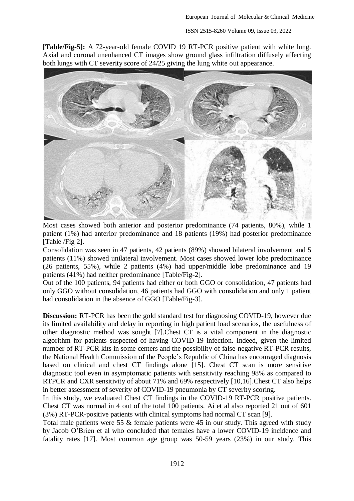ISSN 2515-8260 Volume 09, Issue 03, 2022

**[Table/Fig-5]:** A 72-year-old female COVID 19 RT-PCR positive patient with white lung. Axial and coronal unenhanced CT images show ground glass infiltration diffusely affecting both lungs with CT severity score of 24/25 giving the lung white out appearance.



Most cases showed both anterior and posterior predominance (74 patients, 80%), while 1 patient (1%) had anterior predominance and 18 patients (19%) had posterior predominance [Table /Fig 2].

Consolidation was seen in 47 patients, 42 patients (89%) showed bilateral involvement and 5 patients (11%) showed unilateral involvement. Most cases showed lower lobe predominance (26 patients, 55%), while 2 patients (4%) had upper/middle lobe predominance and 19 patients (41%) had neither predominance [Table/Fig-2].

Out of the 100 patients, 94 patients had either or both GGO or consolidation, 47 patients had only GGO without consolidation, 46 patients had GGO with consolidation and only 1 patient had consolidation in the absence of GGO [Table/Fig-3].

**Discussion:** RT-PCR has been the gold standard test for diagnosing COVID-19, however due its limited availability and delay in reporting in high patient load scenarios, the usefulness of other diagnostic method was sought [7].Chest CT is a vital component in the diagnostic algorithm for patients suspected of having COVID-19 infection. Indeed, given the limited number of RT-PCR kits in some centers and the possibility of false-negative RT-PCR results, the National Health Commission of the People's Republic of China has encouraged diagnosis based on clinical and chest CT findings alone [15]. Chest CT scan is more sensitive diagnostic tool even in asymptomatic patients with sensitivity reaching 98% as compared to RTPCR and CXR sensitivity of about 71% and 69% respectively [10,16].Chest CT also helps in better assessment of severity of COVID-19 pneumonia by CT severity scoring.

In this study, we evaluated Chest CT findings in the COVID-19 RT-PCR positive patients. Chest CT was normal in 4 out of the total 100 patients. Ai et al also reported 21 out of 601 (3%) RT-PCR-positive patients with clinical symptoms had normal CT scan [9].

Total male patients were 55 & female patients were 45 in our study. This agreed with study by Jacob O'Brien et al who concluded that females have a lower COVID-19 incidence and fatality rates [17]. Most common age group was 50-59 years (23%) in our study. This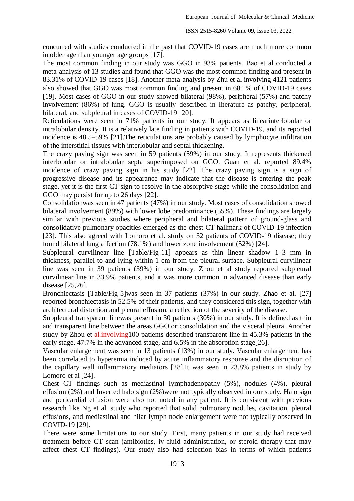concurred with studies conducted in the past that COVID-19 cases are much more common in older age than younger age groups [17].

The most common finding in our study was GGO in 93% patients. Bao et al conducted a meta-analysis of 13 studies and found that GGO was the most common finding and present in 83.31% of COVID-19 cases [18]. Another meta-analysis by Zhu et al involving 4121 patients also showed that GGO was most common finding and present in 68.1% of COVID-19 cases [19]. Most cases of GGO in our study showed bilateral (98%), peripheral (57%) and patchy involvement (86%) of lung. GGO is usually described in literature as patchy, peripheral, bilateral, and subpleural in cases of COVID-19 [20].

Reticulations were seen in 71% patients in our study. It appears as linearinterlobular or intralobular density. It is a relatively late finding in patients with COVID-19, and its reported incidence is 48.5–59% [21].The reticulations are probably caused by lymphocyte infiltration of the interstitial tissues with interlobular and septal thickening.

The crazy paving sign was seen in 59 patients (59%) in our study. It represents thickened interlobular or intralobular septa superimposed on GGO. Guan et al. reported 89.4% incidence of crazy paving sign in his study [22]. The crazy paving sign is a sign of progressive disease and its appearance may indicate that the disease is entering the peak stage, yet it is the first CT sign to resolve in the absorptive stage while the consolidation and GGO may persist for up to 26 days [22].

Consolidationwas seen in 47 patients (47%) in our study. Most cases of consolidation showed bilateral involvement (89%) with lower lobe predominance (55%). These findings are largely similar with previous studies where peripheral and bilateral pattern of ground-glass and consolidative pulmonary opacities emerged as the chest CT hallmark of COVID-19 infection [23]. This also agreed with Lomoro et al. study on 32 patients of COVID-19 disease; they found bilateral lung affection (78.1%) and lower zone involvement (52%) [24].

Subpleural curvilinear line [Table/Fig-11] appears as thin linear shadow 1–3 mm in thickness, parallel to and lying within 1 cm from the pleural surface. Subpleural curvilinear line was seen in 39 patients (39%) in our study. Zhou et al study reported subpleural curvilinear line in 33.9% patients, and it was more common in advanced disease than early disease [25,26].

Bronchiectasis [Table/Fig-5]was seen in 37 patients (37%) in our study. Zhao et al. [27] reported bronchiectasis in 52.5% of their patients, and they considered this sign, together with architectural distortion and pleural effusion, a reflection of the severity of the disease.

Subpleural transparent linewas present in 30 patients (30%) in our study. It is defined as thin and transparent line between the areas GGO or consolidation and the visceral pleura. Another study by Zhou et al.involving100 patients described transparent line in 45.3% patients in the early stage, 47.7% in the advanced stage, and 6.5% in the absorption stage[26].

Vascular enlargement was seen in 13 patients (13%) in our study. Vascular enlargement has been correlated to hyperemia induced by acute inflammatory response and the disruption of the capillary wall inflammatory mediators [28].It was seen in 23.8% patients in study by Lomoro et al [24].

Chest CT findings such as mediastinal lymphadenopathy (5%), nodules (4%), pleural effusion (2%) and Inverted halo sign (2%)were not typically observed in our study. Halo sign and pericardial effusion were also not noted in any patient. It is consistent with previous research like Ng et al. study who reported that solid pulmonary nodules, cavitation, pleural effusions, and mediastinal and hilar lymph node enlargement were not typically observed in COVID-19 [29].

There were some limitations to our study. First, many patients in our study had received treatment before CT scan (antibiotics, iv fluid administration, or steroid therapy that may affect chest CT findings). Our study also had selection bias in terms of which patients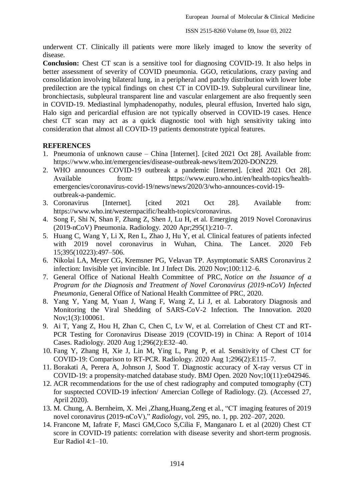underwent CT. Clinically ill patients were more likely imaged to know the severity of disease.

**Conclusion:** Chest CT scan is a sensitive tool for diagnosing COVID-19. It also helps in better assessment of severity of COVID pneumonia. GGO, reticulations, crazy paving and consolidation involving bilateral lung, in a peripheral and patchy distribution with lower lobe predilection are the typical findings on chest CT in COVID-19. Subpleural curvilinear line, bronchiectasis, subpleural transparent line and vascular enlargement are also frequently seen in COVID-19. Mediastinal lymphadenopathy, nodules, pleural effusion, Inverted halo sign, Halo sign and pericardial effusion are not typically observed in COVID-19 cases. Hence chest CT scan may act as a quick diagnostic tool with high sensitivity taking into consideration that almost all COVID-19 patients demonstrate typical features.

### **REFERENCES**

- 1. Pneumonia of unknown cause China [Internet]. [cited 2021 Oct 28]. Available from: [https://www.who.int/emergencies/disease-outbreak-news/item/2020-DON229.](https://www.who.int/emergencies/disease-outbreak-news/item/2020-DON229)
- 2. WHO announces COVID-19 outbreak a pandemic [Internet]. [cited 2021 Oct 28]. Available from: https://www.euro.who.int/en/health-topics/healthemergencies/coronavirus-covid-19/news/news/2020/3/who-announces-covid-19 outbreak-a-pandemic.
- 3. Coronavirus [Internet]. [cited 2021 Oct 28]. Available from: https://www.who.int/westernpacific/health-topics/coronavirus.
- 4. Song F, Shi N, Shan F, Zhang Z, Shen J, Lu H, et al. Emerging 2019 Novel Coronavirus (2019-nCoV) Pneumonia. Radiology. 2020 Apr;295(1):210–7.
- 5. Huang C, Wang Y, Li X, Ren L, Zhao J, Hu Y, et al. Clinical features of patients infected with 2019 novel coronavirus in Wuhan, China. The Lancet. 2020 Feb 15;395(10223):497–506.
- 6. Nikolai LA, Meyer CG, Kremsner PG, Velavan TP. Asymptomatic SARS Coronavirus 2 infection: Invisible yet invincible. Int J Infect Dis. 2020 Nov;100:112–6.
- 7. General Office of National Health Committee of PRC, *Notice on the Issuance of a Program for the Diagnosis and Treatment of Novel Coronavirus (2019-nCoV) Infected Pneumonia*, General Office of National Health Committee of PRC, 2020.
- 8. Yang Y, Yang M, Yuan J, Wang F, Wang Z, Li J, et al. Laboratory Diagnosis and Monitoring the Viral Shedding of SARS-CoV-2 Infection. The Innovation. 2020 Nov;1(3):100061.
- 9. Ai T, Yang Z, Hou H, Zhan C, Chen C, Lv W, et al. Correlation of Chest CT and RT-PCR Testing for Coronavirus Disease 2019 (COVID-19) in China: A Report of 1014 Cases. Radiology. 2020 Aug 1;296(2):E32–40.
- 10. Fang Y, Zhang H, Xie J, Lin M, Ying L, Pang P, et al. Sensitivity of Chest CT for COVID-19: Comparison to RT-PCR. Radiology. 2020 Aug 1;296(2):E115–7.
- 11. Borakati A, Perera A, Johnson J, Sood T. Diagnostic accuracy of X-ray versus CT in COVID-19: a propensity-matched database study. BMJ Open. 2020 Nov;10(11):e042946.
- 12. ACR recommendations for the use of chest radiography and computed tomography (CT) for susptected COVID-19 infection/ Amercian College of Radiology. (2). (Accessed 27, April 2020).
- 13. M. Chung, A. Bernheim, X. Mei ,Zhang,Huang,Zeng et al., "CT imaging features of 2019 novel coronavirus (2019-nCoV)," *Radiology*, vol. 295, no. 1, pp. 202–207, 2020.
- 14. Francone M, Iafrate F, Masci GM,Coco S,Cilia F, Manganaro L et al (2020) Chest CT score in COVID-19 patients: correlation with disease severity and short-term prognosis. Eur Radiol 4:1–10.